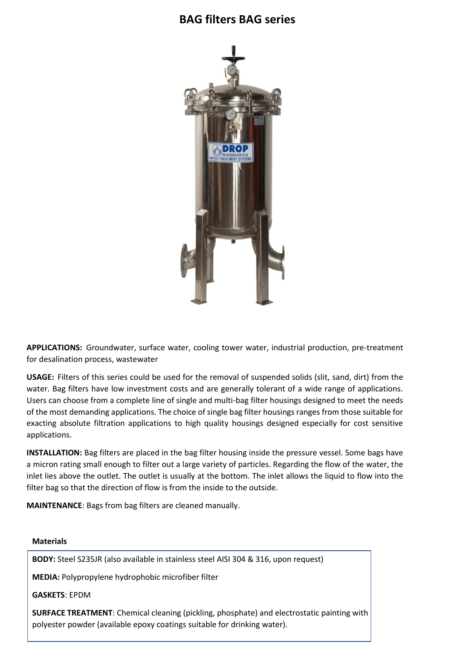## **BAG filters BAG series**



**APPLICATIONS:** Groundwater, surface water, cooling tower water, industrial production, pre-treatment for desalination process, wastewater

**USAGE:** Filters of this series could be used for the removal of suspended solids (slit, sand, dirt) from the water. Bag filters have low investment costs and are generally tolerant of a wide range of applications. Users can choose from a complete line of single and multi-bag filter housings designed to meet the needs of the most demanding applications. The choice of single bag filter housings ranges from those suitable for exacting absolute filtration applications to high quality housings designed especially for cost sensitive applications.

**INSTALLATION:** Bag filters are placed in the bag filter housing inside the pressure vessel. Some bags have a micron rating small enough to filter out a large variety of particles. Regarding the flow of the water, the inlet lies above the outlet. The outlet is usually at the bottom. The inlet allows the liquid to flow into the filter bag so that the direction of flow is from the inside to the outside.

**MAINTENANCE**: Bags from bag filters are cleaned manually.

## **Materials**

**BODY:** Steel S235JR (also available in stainless steel AISI 304 & 316, upon request)

**MEDIA:** Polypropylene hydrophobic microfiber filter

**GASKETS**: EPDM

**SURFACE TREATMENT**: Chemical cleaning (pickling, phosphate) and electrostatic painting with polyester powder (available epoxy coatings suitable for drinking water).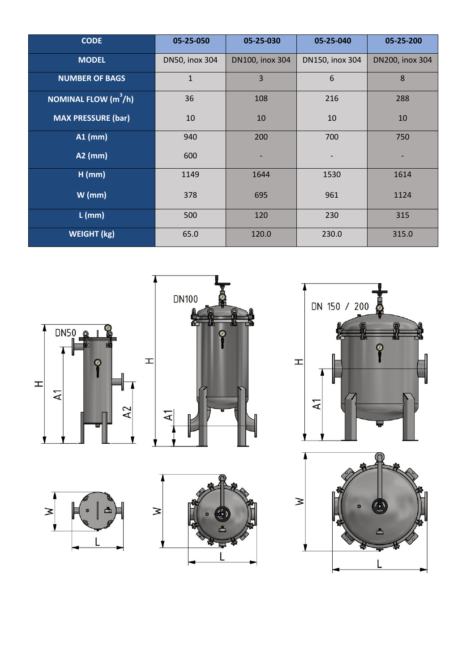| <b>CODE</b>                              | 05-25-050      | 05-25-030       | 05-25-040       | 05-25-200       |
|------------------------------------------|----------------|-----------------|-----------------|-----------------|
| <b>MODEL</b>                             | DN50, inox 304 | DN100, inox 304 | DN150, inox 304 | DN200, inox 304 |
| <b>NUMBER OF BAGS</b>                    | $\mathbf{1}$   | 3               | 6               | 8               |
| <b>NOMINAL FLOW <math>(m^3/h)</math></b> | 36             | 108             | 216             | 288             |
| <b>MAX PRESSURE (bar)</b>                | 10             | 10              | 10              | 10              |
| $A1$ (mm)                                | 940            | 200             | 700             | 750             |
| $A2$ (mm)                                | 600            |                 |                 |                 |
| $H$ (mm)                                 | 1149           | 1644            | 1530            | 1614            |
| $W$ (mm)                                 | 378            | 695             | 961             | 1124            |
| $L$ (mm)                                 | 500            | 120             | 230             | 315             |
| <b>WEIGHT (kg)</b>                       | 65.0           | 120.0           | 230.0           | 315.0           |











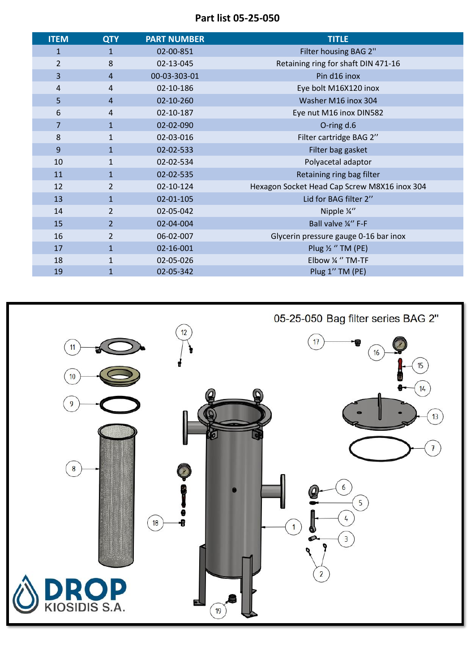**Part list 05-25-050**

| <b>ITEM</b>    | <b>QTY</b>     | <b>PART NUMBER</b> | <b>TITLE</b>                                 |
|----------------|----------------|--------------------|----------------------------------------------|
| $\mathbf{1}$   | $\mathbf{1}$   | 02-00-851          | Filter housing BAG 2"                        |
| $\overline{2}$ | 8              | 02-13-045          | Retaining ring for shaft DIN 471-16          |
| 3              | $\overline{4}$ | 00-03-303-01       | Pin d16 inox                                 |
| 4              | $\overline{4}$ | 02-10-186          | Eye bolt M16X120 inox                        |
| 5              | $\overline{4}$ | 02-10-260          | Washer M16 inox 304                          |
| 6              | 4              | 02-10-187          | Eye nut M16 inox DIN582                      |
| $\overline{7}$ | $\mathbf{1}$   | 02-02-090          | O-ring d.6                                   |
| 8              | $\mathbf{1}$   | 02-03-016          | Filter cartridge BAG 2"                      |
| 9              | $\mathbf{1}$   | 02-02-533          | Filter bag gasket                            |
| 10             | $\mathbf{1}$   | 02-02-534          | Polyacetal adaptor                           |
| 11             | $\mathbf{1}$   | 02-02-535          | Retaining ring bag filter                    |
| 12             | $\overline{2}$ | 02-10-124          | Hexagon Socket Head Cap Screw M8X16 inox 304 |
| 13             | $\mathbf{1}$   | 02-01-105          | Lid for BAG filter 2"                        |
| 14             | $\overline{2}$ | 02-05-042          | Nipple ¼"                                    |
| 15             | $\overline{2}$ | 02-04-004          | Ball valve ¼" F-F                            |
| 16             | $\overline{2}$ | 06-02-007          | Glycerin pressure gauge 0-16 bar inox        |
| 17             | $\mathbf{1}$   | 02-16-001          | Plug $\frac{1}{2}$ "TM (PE)                  |
| 18             | $\mathbf{1}$   | 02-05-026          | Elbow ¼ "TM-TF                               |
| 19             | $\mathbf{1}$   | 02-05-342          | Plug 1" TM (PE)                              |

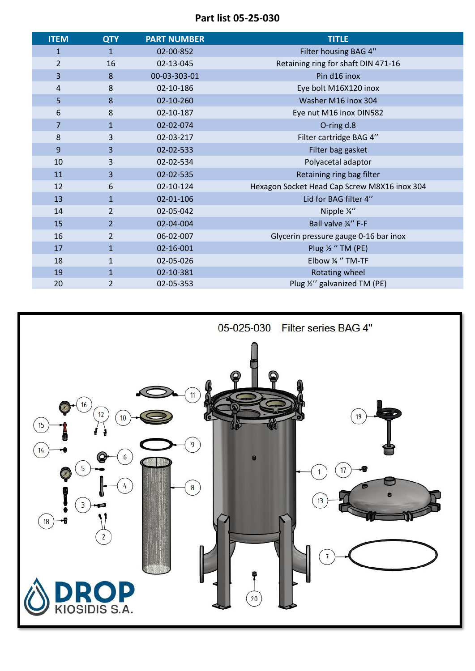**Part list 05-25-030**

| <b>ITEM</b>    | <b>QTY</b>     | <b>PART NUMBER</b> | <b>TITLE</b>                                 |
|----------------|----------------|--------------------|----------------------------------------------|
| $\mathbf{1}$   | $\mathbf{1}$   | 02-00-852          | Filter housing BAG 4"                        |
| $\overline{2}$ | 16             | 02-13-045          | Retaining ring for shaft DIN 471-16          |
| 3              | 8              | 00-03-303-01       | Pin d16 inox                                 |
| 4              | 8              | 02-10-186          | Eye bolt M16X120 inox                        |
| 5              | 8              | 02-10-260          | Washer M16 inox 304                          |
| 6              | 8              | 02-10-187          | Eye nut M16 inox DIN582                      |
| $\overline{7}$ | $\mathbf{1}$   | 02-02-074          | O-ring d.8                                   |
| 8              | 3              | 02-03-217          | Filter cartridge BAG 4"                      |
| 9              | 3              | 02-02-533          | Filter bag gasket                            |
| 10             | 3              | 02-02-534          | Polyacetal adaptor                           |
| 11             | 3              | 02-02-535          | Retaining ring bag filter                    |
| 12             | 6              | 02-10-124          | Hexagon Socket Head Cap Screw M8X16 inox 304 |
| 13             | $\mathbf{1}$   | 02-01-106          | Lid for BAG filter 4"                        |
| 14             | $\overline{2}$ | 02-05-042          | Nipple ¼"                                    |
| 15             | $\overline{2}$ | 02-04-004          | Ball valve ¼" F-F                            |
| 16             | $\overline{2}$ | 06-02-007          | Glycerin pressure gauge 0-16 bar inox        |
| 17             | $\mathbf{1}$   | 02-16-001          | Plug $\frac{1}{2}$ "TM (PE)                  |
| 18             | $\mathbf{1}$   | 02-05-026          | Elbow % "TM-TF                               |
| 19             | $\mathbf{1}$   | 02-10-381          | Rotating wheel                               |
| 20             | $\overline{2}$ | 02-05-353          | Plug 1/2" galvanized TM (PE)                 |

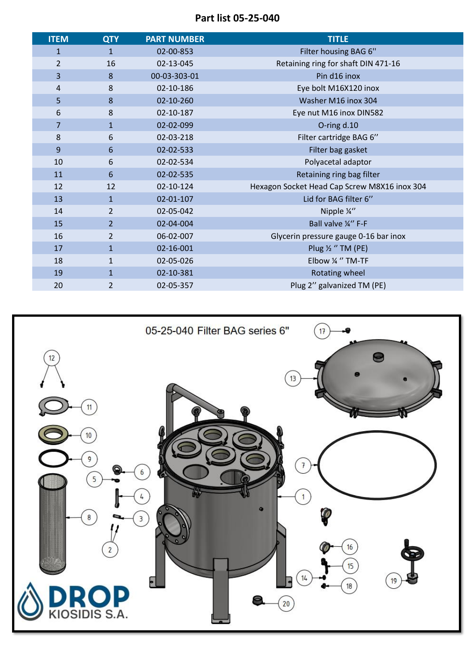**Part list 05-25-040**

| <b>ITEM</b>    | <b>QTY</b>     | <b>PART NUMBER</b> | <b>TITLE</b>                                 |
|----------------|----------------|--------------------|----------------------------------------------|
| $\mathbf{1}$   | $\mathbf{1}$   | 02-00-853          | Filter housing BAG 6"                        |
| $\overline{2}$ | 16             | 02-13-045          | Retaining ring for shaft DIN 471-16          |
| 3              | 8              | 00-03-303-01       | Pin d16 inox                                 |
| 4              | 8              | 02-10-186          | Eye bolt M16X120 inox                        |
| 5              | 8              | 02-10-260          | Washer M16 inox 304                          |
| 6              | 8              | 02-10-187          | Eye nut M16 inox DIN582                      |
| $\overline{7}$ | $\mathbf{1}$   | 02-02-099          | O-ring d.10                                  |
| 8              | 6              | 02-03-218          | Filter cartridge BAG 6"                      |
| 9              | 6              | 02-02-533          | Filter bag gasket                            |
| 10             | 6              | 02-02-534          | Polyacetal adaptor                           |
| 11             | 6              | 02-02-535          | Retaining ring bag filter                    |
| 12             | 12             | 02-10-124          | Hexagon Socket Head Cap Screw M8X16 inox 304 |
| 13             | $\mathbf{1}$   | 02-01-107          | Lid for BAG filter 6"                        |
| 14             | $\overline{2}$ | 02-05-042          | Nipple ¼"                                    |
| 15             | $\overline{2}$ | 02-04-004          | Ball valve ¼" F-F                            |
| 16             | $\overline{2}$ | 06-02-007          | Glycerin pressure gauge 0-16 bar inox        |
| 17             | $\mathbf{1}$   | 02-16-001          | Plug $\frac{1}{2}$ "TM (PE)                  |
| 18             | $\mathbf{1}$   | 02-05-026          | Elbow 1/4 " TM-TF                            |
| 19             | $\mathbf{1}$   | 02-10-381          | Rotating wheel                               |
| 20             | $\overline{2}$ | 02-05-357          | Plug 2" galvanized TM (PE)                   |